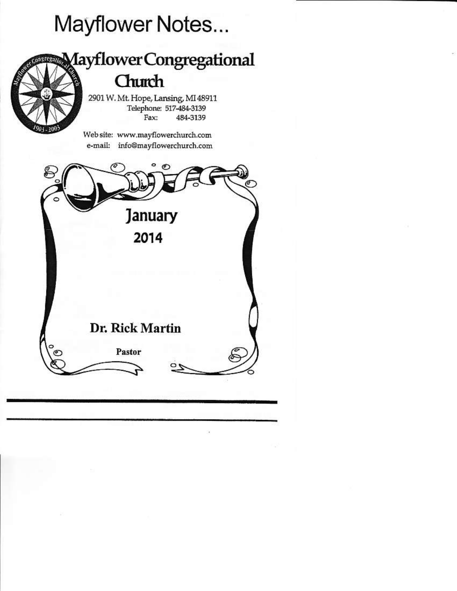# Mayflower Notes...



Telephone: 517-484-3139 484-3139 Fax:

Web site: www.mayflowerchurch.com e-mail: info@mayflowerchurch.com

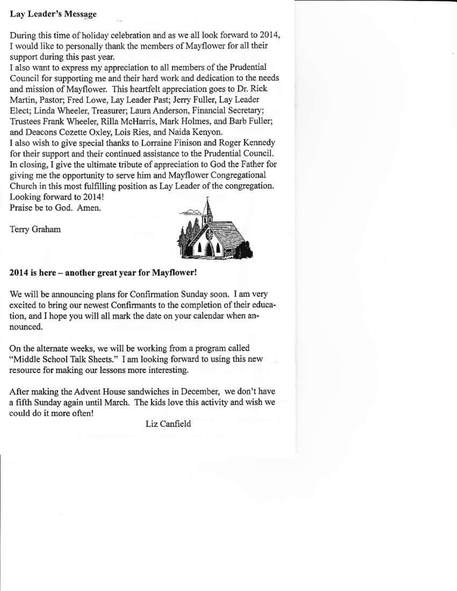## **Lay Leader's Message**

During this time of holiday celebration and as we all look forward to 2014, I would like to personally thank the members of Mayflower for all their support during this past year.

I also want to express my appreciation to all members of the Prudential Council for supporting me and their hard work and dedication to the needs and mission of Mayflower. This heartfelt appreciation goes to Dr. Rick Martin, Pastor; Fred Lowe, Lay Leader Past; Jerry Fuller, Lay Leader Elect: Linda Wheeler, Treasurer; Laura Anderson, Financial Secretary; Trustees Frank Wheeler, Rilla McHarris, Mark Holmes, and Barb Fuller; and Deacons Cozette Oxley, Lois Ries, and Naida Kenyon. I also wish to give special thanks to Lorraine Finison and Roger Kennedy

for their support and their continued assistance to the Prudential Council. In closing, I give the ultimate tribute of appreciation to God the Father for giving me the opportunity to serve him and Mayflower Congregational Church in this most fulfilling position as Lay Leader of the congregation. Looking forward to 2014!

Praise be to God. Amen.

Terry Graham



## 2014 is here - another great year for Mayflower!

We will be announcing plans for Confirmation Sunday soon. I am very excited to bring our newest Confirmants to the completion of their education, and I hope you will all mark the date on your calendar when announced.

On the alternate weeks, we will be working from a program called "Middle School Talk Sheets." I am looking forward to using this new resource for making our lessons more interesting.

After making the Advent House sandwiches in December, we don't have a fifth Sunday again until March. The kids love this activity and wish we could do it more often!

Liz Canfield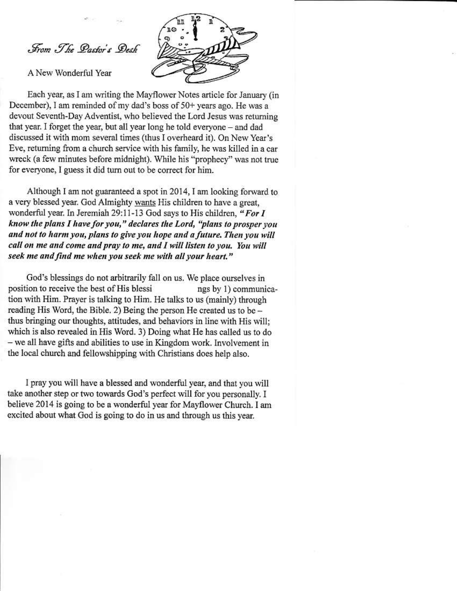From The Pastor's Desk

A New Wonderful Year



Each year, as I am writing the Mayflower Notes article for January (in December), I am reminded of my dad's boss of 50+ years ago. He was a devout Seventh-Day Adventist, who believed the Lord Jesus was returning that year. I forget the year, but all year long he told everyone - and dad discussed it with mom several times (thus I overheard it). On New Year's Eve, returning from a church service with his family, he was killed in a car wreck (a few minutes before midnight). While his "prophecy" was not true for everyone, I guess it did turn out to be correct for him.

Although I am not guaranteed a spot in 2014, I am looking forward to a very blessed year. God Almighty wants His children to have a great, wonderful year. In Jeremiah 29:11-13 God says to His children, "For I know the plans I have for you," declares the Lord, "plans to prosper you and not to harm you, plans to give you hope and a future. Then you will call on me and come and pray to me, and I will listen to you. You will seek me and find me when you seek me with all your heart."

God's blessings do not arbitrarily fall on us. We place ourselves in position to receive the best of His blessi ngs by 1) communication with Him. Prayer is talking to Him. He talks to us (mainly) through reading His Word, the Bible. 2) Being the person He created us to be thus bringing our thoughts, attitudes, and behaviors in line with His will: which is also revealed in His Word. 3) Doing what He has called us to do - we all have gifts and abilities to use in Kingdom work. Involvement in the local church and fellowshipping with Christians does help also.

I pray you will have a blessed and wonderful year, and that you will take another step or two towards God's perfect will for you personally. I believe 2014 is going to be a wonderful year for Mayflower Church. I am excited about what God is going to do in us and through us this year.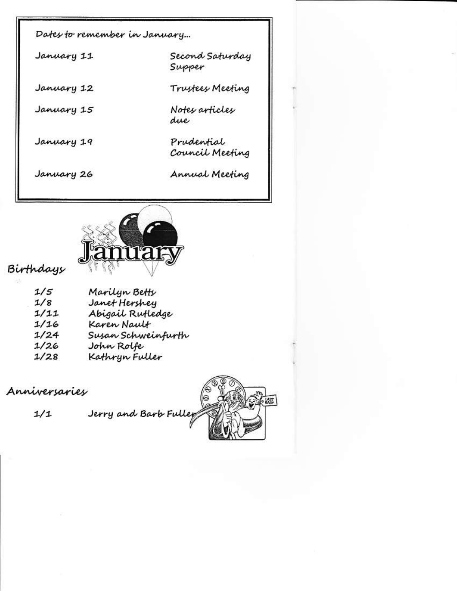| Dafes <del>to</del> remember in January |                               |
|-----------------------------------------|-------------------------------|
| January 11                              | Second Saturday<br>Supper     |
| January 12                              | Trustees Meeting              |
| January 15                              | Notes articles<br>due         |
| January 19                              | Prudential<br>Council Meeting |
| January 26                              | Annual Meeting                |



# Birthdays

| 1/5  | Marilyn Betty      |
|------|--------------------|
| 1/8  | Janet Hershey      |
| 1/11 | Abigail Rufledge   |
| 1/16 | Karen Nault        |
| 1/24 | Susan Schweinfurth |
| 1/26 | John Rolfe         |
| 1/28 | Kathryn Fuller     |

Anniversaries





 $1/1$